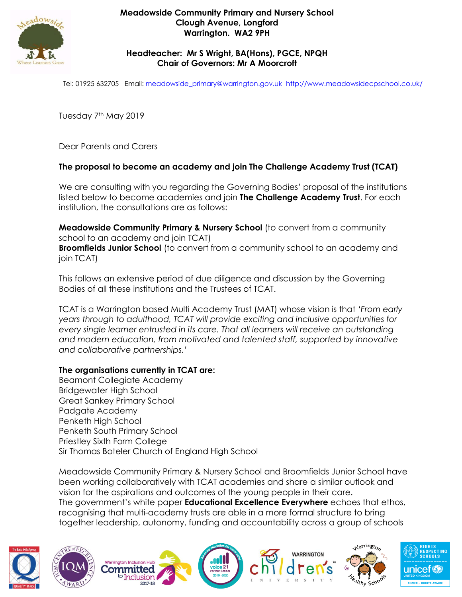

## **Headteacher: Mr S Wright, BA(Hons), PGCE, NPQH Chair of Governors: Mr A Moorcroft**

Tel: 01925 632705 Email: [meadowside\\_primary@warrington.gov.uk](mailto:meadowside_primary@warrington.gov.uk) <http://www.meadowsidecpschool.co.uk/>

Tuesday 7<sup>th</sup> May 2019

Dear Parents and Carers

# **The proposal to become an academy and join The Challenge Academy Trust (TCAT)**

We are consulting with you regarding the Governing Bodies' proposal of the institutions listed below to become academies and join **The Challenge Academy Trust**. For each institution, the consultations are as follows:

**Meadowside Community Primary & Nursery School** (to convert from a community school to an academy and join TCAT) **Broomfields Junior School** (to convert from a community school to an academy and join TCAT)

This follows an extensive period of due diligence and discussion by the Governing Bodies of all these institutions and the Trustees of TCAT.

TCAT is a Warrington based Multi Academy Trust (MAT) whose vision is that *'From early years through to adulthood, TCAT will provide exciting and inclusive opportunities for every single learner entrusted in its care. That all learners will receive an outstanding and modern education, from motivated and talented staff, supported by innovative and collaborative partnerships.'*

## **The organisations currently in TCAT are:**

Beamont Collegiate Academy Bridgewater High School Great Sankey Primary School Padgate Academy Penketh High School Penketh South Primary School Priestley Sixth Form College Sir Thomas Boteler Church of England High School

Meadowside Community Primary & Nursery School and Broomfields Junior School have been working collaboratively with TCAT academies and share a similar outlook and vision for the aspirations and outcomes of the young people in their care. The government's white paper **Educational Excellence Everywhere** echoes that ethos, recognising that multi-academy trusts are able in a more formal structure to bring together leadership, autonomy, funding and accountability across a group of schools



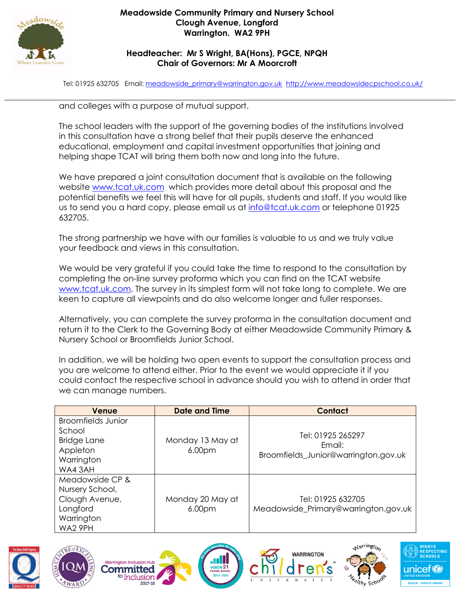

### **Meadowside Community Primary and Nursery School Clough Avenue, Longford Warrington. WA2 9PH**

## **Headteacher: Mr S Wright, BA(Hons), PGCE, NPQH Chair of Governors: Mr A Moorcroft**

Tel: 01925 632705 Email: [meadowside\\_primary@warrington.gov.uk](mailto:meadowside_primary@warrington.gov.uk) <http://www.meadowsidecpschool.co.uk/>

and colleges with a purpose of mutual support.

The school leaders with the support of the governing bodies of the institutions involved in this consultation have a strong belief that their pupils deserve the enhanced educational, employment and capital investment opportunities that joining and helping shape TCAT will bring them both now and long into the future.

We have prepared a joint consultation document that is available on the following website [www.tcat.uk.com](http://www.tcat.uk.com/) which provides more detail about this proposal and the potential benefits we feel this will have for all pupils, students and staff. If you would like us to send you a hard copy, please email us at [info@tcat.uk.com](https://webmail.penketh.warrington.sch.uk/owa/redir.aspx?C=OEqkYEVJeAdZ1aJ66oe_DDG-GJmNgvpxsVcv0kPrYZKXJO1lEjrUCA..&URL=mailto%3ainfo%40tcat.uk.com) or telephone 01925 632705.

The strong partnership we have with our families is valuable to us and we truly value your feedback and views in this consultation.

We would be very grateful if you could take the time to respond to the consultation by completing the on-line survey proforma which you can find on the TCAT website [www.tcat.uk.com.](http://www.tcat.uk.com/) The survey in its simplest form will not take long to complete. We are keen to capture all viewpoints and do also welcome longer and fuller responses.

Alternatively, you can complete the survey proforma in the consultation document and return it to the Clerk to the Governing Body at either Meadowside Community Primary & Nursery School or Broomfields Junior School.

In addition, we will be holding two open events to support the consultation process and you are welcome to attend either. Prior to the event we would appreciate it if you could contact the respective school in advance should you wish to attend in order that we can manage numbers.

| Venue                                                                                         | <b>Date and Time</b>                   | Contact                                                             |
|-----------------------------------------------------------------------------------------------|----------------------------------------|---------------------------------------------------------------------|
| <b>Broomfields Junior</b><br>School<br><b>Bridge Lane</b><br>Appleton<br>Warrington<br>WA43AH | Monday 13 May at<br>6.00 <sub>pm</sub> | Tel: 01925 265297<br>Fmail:<br>Broomfields_Junior@warrington.gov.uk |
| Meadowside CP &<br>Nursery School,<br>Clough Avenue,<br>Longford<br>Warrington<br>WA2 9PH     | Monday 20 May at<br>6.00 <sub>pm</sub> | Tel: 01925 632705<br>Meadowside_Primary@warrington.gov.uk           |